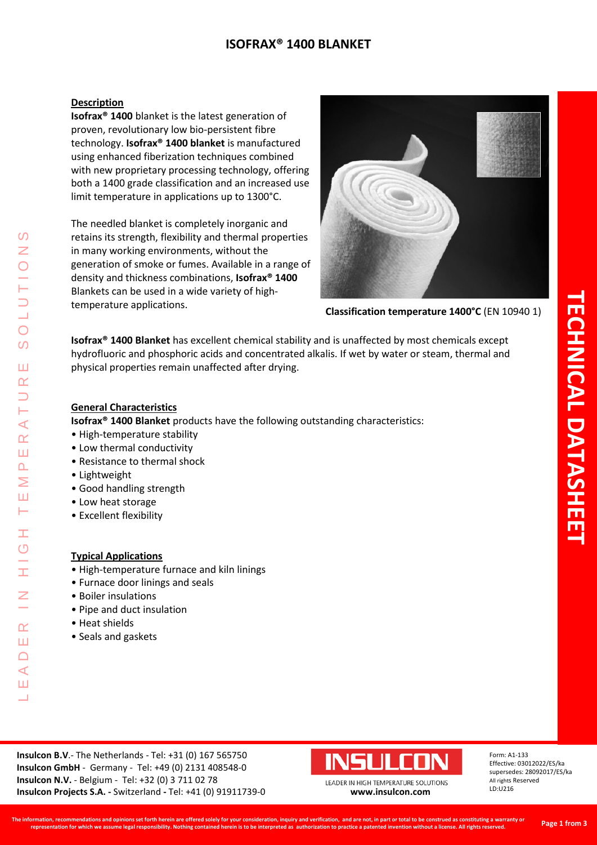# **ISOFRAX® 1400 BLANKET**

# **Description**

**Isofrax® 1400** blanket is the latest generation of proven, revolutionary low bio-persistent fibre technology. **Isofrax® 1400 blanket** is manufactured using enhanced fiberization techniques combined with new proprietary processing technology, offering both a 1400 grade classification and an increased use limit temperature in applications up to 1300°C.

The needled blanket is completely inorganic and retains its strength, flexibility and thermal properties in many working environments, without the generation of smoke or fumes. Available in a range of density and thickness combinations, **Isofrax® 1400** Blankets can be used in a wide variety of hightemperature applications.



**Classification temperature 1400°C** (EN 10940 1)

**Isofrax® 1400 Blanket** has excellent chemical stability and is unaffected by most chemicals except hydrofluoric and phosphoric acids and concentrated alkalis. If wet by water or steam, thermal and physical properties remain unaffected after drying.

# **General Characteristics**

**Isofrax® 1400 Blanket** products have the following outstanding characteristics:

- High-temperature stability
- Low thermal conductivity
- Resistance to thermal shock
- Lightweight

LEADER IN HIGH TEMPERATURE SOLUTIONS

Ŧ  $\overline{O}$ 

 $\alpha$ Ш  $\Box$  $\blacktriangleleft$ Ш  $\overline{\phantom{0}}$ 

 $\overline{\mathcal{L}}$  $\alpha$ Ш  $\overline{\mathbf{r}}$ Σ Ш ⊢

ၯ Z

 $\overline{O}$  $\Omega$ 

Ш  $\alpha$ 

- Good handling strength
- Low heat storage
- Excellent flexibility

# **Typical Applications**

- High-temperature furnace and kiln linings
- Furnace door linings and seals
- Boiler insulations
- Pipe and duct insulation
- Heat shields
- Seals and gaskets

**Insulcon B.V**.- The Netherlands - Tel: +31 (0) 167 565750 **Insulcon GmbH** - Germany - Tel: +49 (0) 2131 408548-0 **Insulcon N.V.** - Belgium - Tel: +32 (0) 3 711 02 78 **Insulcon Projects S.A. -** Switzerland **-** Tel: +41 (0) 91911739-0 **[www.insulcon.com](http://www.insulcon.com/)**



Form: A1-133 Effective: 03012022/ES/ka supersedes: 28092017/ES/ka All rights Reserved LD:U216

LEADER IN HIGH TEMPERATURE SOLUTIONS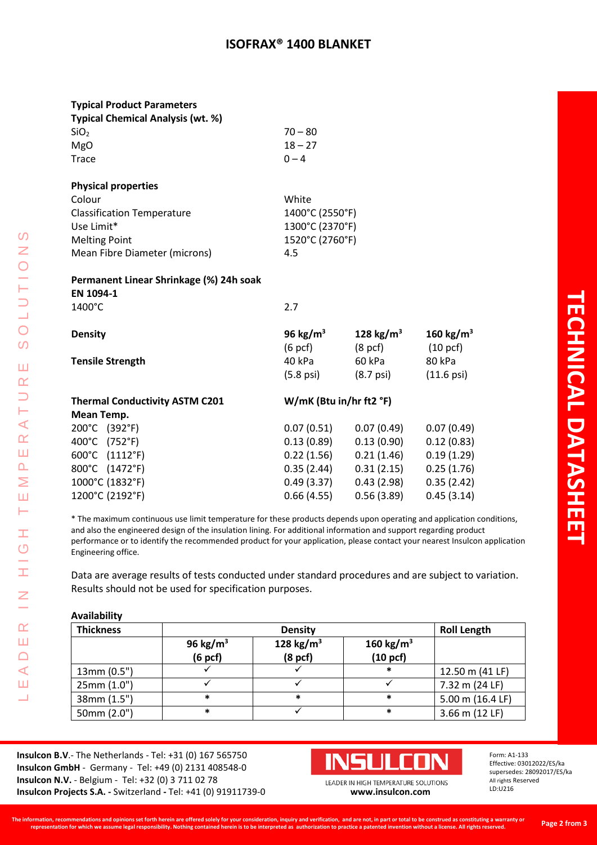# **ISOFRAX® 1400 BLANKET**

| <b>Typical Product Parameters</b> |  |
|-----------------------------------|--|
|-----------------------------------|--|

| $70 - 80$ |
|-----------|
| $18 - 27$ |
| $0 - 4$   |
|           |

#### **Physical properties**

| Colour                            | White           |
|-----------------------------------|-----------------|
| <b>Classification Temperature</b> | 1400°C (2550°F) |
| Use Limit*                        | 1300°C (2370°F) |
| <b>Melting Point</b>              | 1520°C (2760°F) |
| Mean Fibre Diameter (microns)     | 4.5             |
|                                   |                 |

# **Permanent Linear Shrinkage (%) 24h soak EN 1094-1** 1400°C 2.7

| <b>Density</b>                        | 96 kg/ $m3$             | 128 kg/m <sup>3</sup> | 160 kg/m <sup>3</sup> |
|---------------------------------------|-------------------------|-----------------------|-----------------------|
|                                       | $(6 \text{ pcf})$       | $(8 \text{ pcf})$     | $(10 \text{ pcf})$    |
| <b>Tensile Strength</b>               | 40 kPa                  | 60 kPa                | 80 kPa                |
|                                       | (5.8 psi)               | $(8.7 \text{ psi})$   | $(11.6 \,\text{psi})$ |
| <b>Thermal Conductivity ASTM C201</b> | W/mK (Btu in/hr ft2 °F) |                       |                       |
| Mean Temp.                            |                         |                       |                       |
| 200°C (392°F)                         | 0.07(0.51)              | 0.07(0.49)            | 0.07(0.49)            |
| 400°C (752°F)                         | 0.13(0.89)              | 0.13(0.90)            | 0.12(0.83)            |
| 600°C (1112°F)                        | 0.22(1.56)              | 0.21(1.46)            | 0.19(1.29)            |
| 800°C (1472°F)                        | 0.35(2.44)              | 0.31(2.15)            | 0.25(1.76)            |

1000°C (1832°F) 0.49 (3.37) 0.43 (2.98) 0.35 (2.42) 1200°C (2192°F) 0.66 (4.55) 0.56 (3.89) 0.45 (3.14)

\* The maximum continuous use limit temperature for these products depends upon operating and application conditions, and also the engineered design of the insulation lining. For additional information and support regarding product performance or to identify the recommended product for your application, please contact your nearest Insulcon application Engineering office.

Data are average results of tests conducted under standard procedures and are subject to variation. Results should not be used for specification purposes.

# **Availability**

LEADER IN HIGH TEMPERATURE SOLUTIONS

Ŧ  $\bigcirc$  $\frac{1}{1}$ 

 $\overline{z}$ 

 $\alpha$ Ш  $\Box$  $\triangleleft$ Ш Ц

 $\Omega$  $\overline{z}$ 

**DIJ** 

 $\overline{O}$ 

Ш  $\alpha$  $\Rightarrow$ Н  $\prec$  $\alpha$ Ш  $\overline{\mathbf{r}}$ Σ Ш Н

| <b>Thickness</b> | <b>Density</b>                              |                                              |                                            | <b>Roll Length</b> |
|------------------|---------------------------------------------|----------------------------------------------|--------------------------------------------|--------------------|
|                  | 96 kg/m <sup>3</sup><br>(6 <sub>pcf</sub> ) | 128 kg/m <sup>3</sup><br>(8 <sub>pcf</sub> ) | 160 kg/m <sup>3</sup><br>$(10~\text{pcf})$ |                    |
| 13mm (0.5")      |                                             |                                              | *                                          | 12.50 m (41 LF)    |
| 25mm (1.0")      |                                             |                                              |                                            | 7.32 m (24 LF)     |
| 38mm (1.5")      | *                                           | *                                            | *                                          | 5.00 m (16.4 LF)   |
| 50mm (2.0")      | *                                           |                                              | *                                          | 3.66 m (12 LF)     |

**Insulcon B.V**.- The Netherlands - Tel: +31 (0) 167 565750 **Insulcon GmbH** - Germany - Tel: +49 (0) 2131 408548-0 **Insulcon N.V.** - Belgium - Tel: +32 (0) 3 711 02 78 **Insulcon Projects S.A. -** Switzerland **-** Tel: +41 (0) 91911739-0 **[www.insulcon.com](http://www.insulcon.com/)**



LEADER IN HIGH TEMPERATURE SOLUTIONS

Form: A1-133 Effective: 03012022/ES/ka supersedes: 28092017/ES/ka All rights Reserved LD:U216